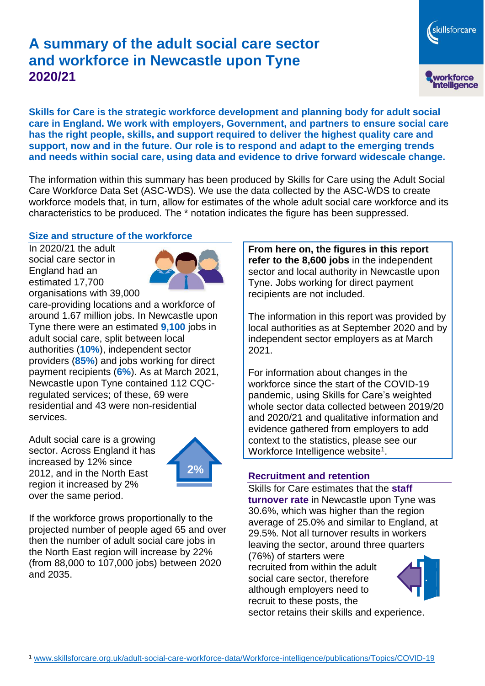# **A summary of the adult social care sector and workforce in Newcastle upon Tyne 2020/21**



**Skills for Care is the strategic workforce development and planning body for adult social care in England. We work with employers, Government, and partners to ensure social care has the right people, skills, and support required to deliver the highest quality care and support, now and in the future. Our role is to respond and adapt to the emerging trends and needs within social care, using data and evidence to drive forward widescale change.**

The information within this summary has been produced by Skills for Care using the Adult Social Care Workforce Data Set (ASC-WDS). We use the data collected by the ASC-WDS to create workforce models that, in turn, allow for estimates of the whole adult social care workforce and its characteristics to be produced. The \* notation indicates the figure has been suppressed.

#### **Size and structure of the workforce**

In 2020/21 the adult social care sector in England had an estimated 17,700 organisations with 39,000



care-providing locations and a workforce of around 1.67 million jobs. In Newcastle upon Tyne there were an estimated **9,100** jobs in adult social care, split between local authorities (**10%**), independent sector providers (**85%**) and jobs working for direct payment recipients (**6%**). As at March 2021, Newcastle upon Tyne contained 112 CQCregulated services; of these, 69 were residential and 43 were non-residential services.

Adult social care is a growing sector. Across England it has increased by 12% since 2012, and in the North East region it increased by 2% over the same period.



If the workforce grows proportionally to the projected number of people aged 65 and over then the number of adult social care jobs in the North East region will increase by 22% (from 88,000 to 107,000 jobs) between 2020 and 2035.

**From here on, the figures in this report refer to the 8,600 jobs** in the independent sector and local authority in Newcastle upon Tyne. Jobs working for direct payment recipients are not included.

The information in this report was provided by local authorities as at September 2020 and by independent sector employers as at March 2021.

For information about changes in the workforce since the start of the COVID-19 pandemic, using Skills for Care's weighted whole sector data collected between 2019/20 and 2020/21 and qualitative information and evidence gathered from employers to add context to the statistics, please see our Workforce Intelligence website<sup>1</sup>.

#### **Recruitment and retention**

Skills for Care estimates that the **staff turnover rate** in Newcastle upon Tyne was 30.6%, which was higher than the region average of 25.0% and similar to England, at 29.5%. Not all turnover results in workers leaving the sector, around three quarters

(76%) of starters were recruited from within the adult social care sector, therefore although employers need to recruit to these posts, the



sector retains their skills and experience.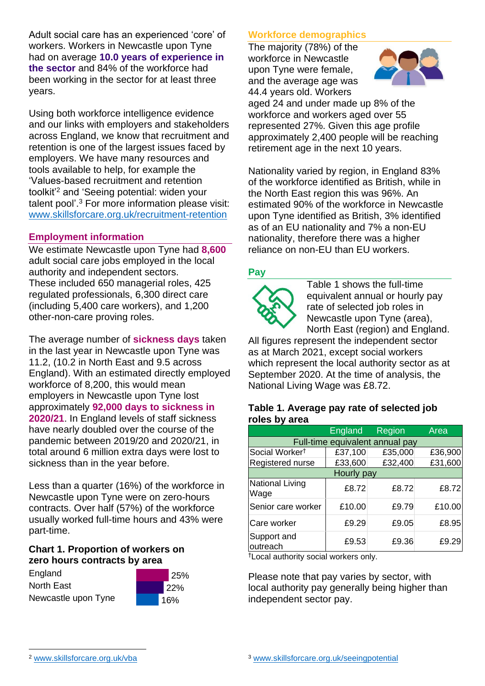Adult social care has an experienced 'core' of workers. Workers in Newcastle upon Tyne had on average **10.0 years of experience in the sector** and 84% of the workforce had been working in the sector for at least three years.

Using both workforce intelligence evidence and our links with employers and stakeholders across England, we know that recruitment and retention is one of the largest issues faced by employers. We have many resources and tools available to help, for example the 'Values-based recruitment and retention toolkit'<sup>2</sup> and 'Seeing potential: widen your talent pool'. <sup>3</sup> For more information please visit: [www.skillsforcare.org.uk/recruitment-retention](http://www.skillsforcare.org.uk/recruitment-retention)

### **Employment information**

We estimate Newcastle upon Tyne had **8,600** adult social care jobs employed in the local authority and independent sectors. These included 650 managerial roles, 425 regulated professionals, 6,300 direct care (including 5,400 care workers), and 1,200 other-non-care proving roles.

The average number of **sickness days** taken in the last year in Newcastle upon Tyne was 11.2, (10.2 in North East and 9.5 across England). With an estimated directly employed workforce of 8,200, this would mean employers in Newcastle upon Tyne lost approximately **92,000 days to sickness in 2020/21**. In England levels of staff sickness have nearly doubled over the course of the pandemic between 2019/20 and 2020/21, in total around 6 million extra days were lost to sickness than in the year before.

Less than a quarter (16%) of the workforce in Newcastle upon Tyne were on zero-hours contracts. Over half (57%) of the workforce usually worked full-time hours and 43% were part-time.

#### **Chart 1. Proportion of workers on zero hours contracts by area**

England North East Newcastle upon Tyne



### **Workforce demographics**

The majority (78%) of the workforce in Newcastle upon Tyne were female, and the average age was 44.4 years old. Workers



aged 24 and under made up 8% of the workforce and workers aged over 55 represented 27%. Given this age profile approximately 2,400 people will be reaching retirement age in the next 10 years.

Nationality varied by region, in England 83% of the workforce identified as British, while in the North East region this was 96%. An estimated 90% of the workforce in Newcastle upon Tyne identified as British, 3% identified as of an EU nationality and 7% a non-EU nationality, therefore there was a higher reliance on non-EU than EU workers.

### **Pay**



Table 1 shows the full-time equivalent annual or hourly pay rate of selected job roles in Newcastle upon Tyne (area), North East (region) and England.

All figures represent the independent sector as at March 2021, except social workers which represent the local authority sector as at September 2020. At the time of analysis, the National Living Wage was £8.72.

#### **Table 1. Average pay rate of selected job roles by area**

|                                 | England | Region  | Area    |
|---------------------------------|---------|---------|---------|
| Full-time equivalent annual pay |         |         |         |
| Social Worker <sup>t</sup>      | £37,100 | £35,000 | £36,900 |
| Registered nurse                | £33,600 | £32,400 | £31,600 |
| Hourly pay                      |         |         |         |
| National Living<br>Wage         | £8.72   | £8.72   | £8.72   |
| Senior care worker              | £10.00  | £9.79   | £10.00  |
| Care worker                     | £9.29   | £9.05   | £8.95   |
| Support and<br>outreach         | £9.53   | £9.36   | £9.29   |

†Local authority social workers only.

Please note that pay varies by sector, with local authority pay generally being higher than independent sector pay.

[www.skillsforcare.org.uk/vba](http://www.skillsforcare.org.uk/vba)